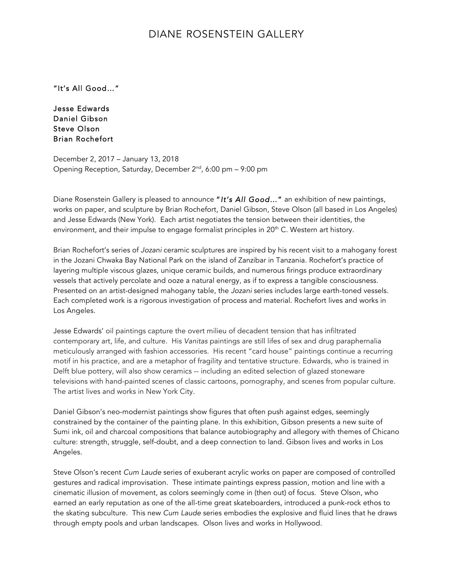## DIANE ROSENSTEIN GALLERY

"It's All Good…"

Jesse Edwards Daniel Gibson Steve Olson Brian Rochefort

December 2, 2017 – January 13, 2018 Opening Reception, Saturday, December  $2^{nd}$ , 6:00 pm – 9:00 pm

Diane Rosenstein Gallery is pleased to announce "*It's All Good*…" an exhibition of new paintings, works on paper, and sculpture by Brian Rochefort, Daniel Gibson, Steve Olson (all based in Los Angeles) and Jesse Edwards (New York). Each artist negotiates the tension between their identities, the environment, and their impulse to engage formalist principles in  $20<sup>th</sup>$  C. Western art history.

Brian Rochefort's series of *Jozani* ceramic sculptures are inspired by his recent visit to a mahogany forest in the Jozani Chwaka Bay National Park on the island of Zanzibar in Tanzania. Rochefort's practice of layering multiple viscous glazes, unique ceramic builds, and numerous firings produce extraordinary vessels that actively percolate and ooze a natural energy, as if to express a tangible consciousness. Presented on an artist-designed mahogany table, the *Jozani* series includes large earth-toned vessels. Each completed work is a rigorous investigation of process and material. Rochefort lives and works in Los Angeles.

Jesse Edwards' oil paintings capture the overt milieu of decadent tension that has infiltrated contemporary art, life, and culture. His *Vanitas* paintings are still lifes of sex and drug paraphernalia meticulously arranged with fashion accessories. His recent "card house" paintings continue a recurring motif in his practice, and are a metaphor of fragility and tentative structure. Edwards, who is trained in Delft blue pottery, will also show ceramics -- including an edited selection of glazed stoneware televisions with hand-painted scenes of classic cartoons, pornography, and scenes from popular culture. The artist lives and works in New York City.

Daniel Gibson's neo-modernist paintings show figures that often push against edges, seemingly constrained by the container of the painting plane. In this exhibition, Gibson presents a new suite of Sumi ink, oil and charcoal compositions that balance autobiography and allegory with themes of Chicano culture: strength, struggle, self-doubt, and a deep connection to land. Gibson lives and works in Los Angeles.

Steve Olson's recent *Cum Laude* series of exuberant acrylic works on paper are composed of controlled gestures and radical improvisation. These intimate paintings express passion, motion and line with a cinematic illusion of movement, as colors seemingly come in (then out) of focus. Steve Olson, who earned an early reputation as one of the all-time great skateboarders, introduced a punk-rock ethos to the skating subculture. This new *Cum Laude* series embodies the explosive and fluid lines that he draws through empty pools and urban landscapes. Olson lives and works in Hollywood.